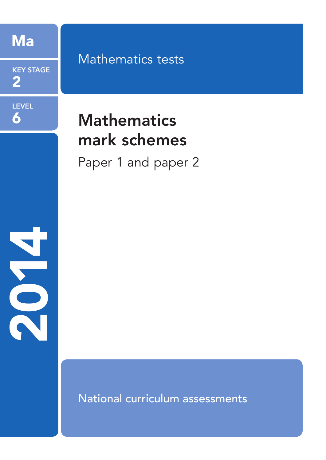

KEY STAGE 2

# LEVEL 6

2024

# Mathematics tests

# **Mathematics** mark schemes

Paper 1 and paper 2

National curriculum assessments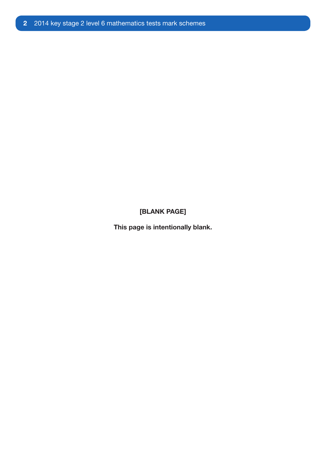[BLANK PAGE]

This page is intentionally blank.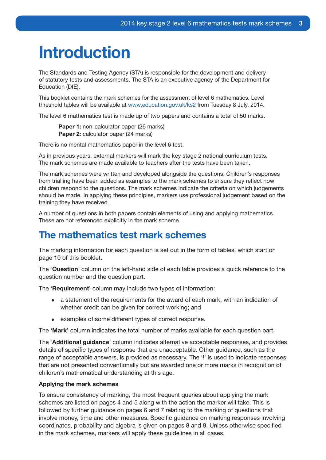# Introduction

The Standards and Testing Agency (STA) is responsible for the development and delivery of statutory tests and assessments. The STA is an executive agency of the Department for Education (DfE).

This booklet contains the mark schemes for the assessment of level 6 mathematics. Level threshold tables will be available at www.education.gov.uk/ks2 from Tuesday 8 July, 2014.

The level 6 mathematics test is made up of two papers and contains a total of 50 marks.

Paper 1: non-calculator paper (26 marks) Paper 2: calculator paper (24 marks)

There is no mental mathematics paper in the level 6 test.

As in previous years, external markers will mark the key stage 2 national curriculum tests. The mark schemes are made available to teachers after the tests have been taken.

The mark schemes were written and developed alongside the questions. Children's responses from trialling have been added as examples to the mark schemes to ensure they reflect how children respond to the questions. The mark schemes indicate the criteria on which judgements should be made. In applying these principles, markers use professional judgement based on the training they have received.

A number of questions in both papers contain elements of using and applying mathematics. These are not referenced explicitly in the mark scheme.

#### The mathematics test mark schemes

The marking information for each question is set out in the form of tables, which start on page 10 of this booklet.

The 'Question' column on the left-hand side of each table provides a quick reference to the question number and the question part.

The 'Requirement' column may include two types of information:

- a statement of the requirements for the award of each mark, with an indication of whether credit can be given for correct working; and
- • examples of some different types of correct response.

The 'Mark' column indicates the total number of marks available for each question part.

The 'Additional guidance' column indicates alternative acceptable responses, and provides details of specific types of response that are unacceptable. Other guidance, such as the range of acceptable answers, is provided as necessary. The '!' is used to indicate responses that are not presented conventionally but are awarded one or more marks in recognition of children's mathematical understanding at this age.

#### Applying the mark schemes

To ensure consistency of marking, the most frequent queries about applying the mark schemes are listed on pages 4 and 5 along with the action the marker will take. This is followed by further guidance on pages 6 and 7 relating to the marking of questions that involve money, time and other measures. Specific guidance on marking responses involving coordinates, probability and algebra is given on pages 8 and 9. Unless otherwise specified in the mark schemes, markers will apply these guidelines in all cases.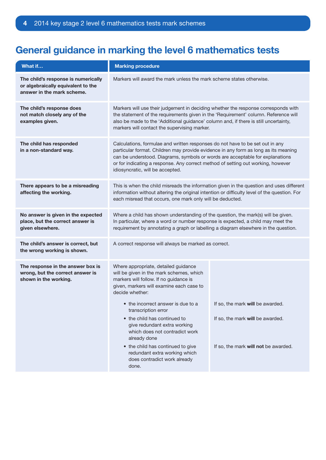## General guidance in marking the level 6 mathematics tests

| What if                                                                                                 | <b>Marking procedure</b>                                                                                                                                                                                                                                                                                                                                                                                                                                                                                                      |  |
|---------------------------------------------------------------------------------------------------------|-------------------------------------------------------------------------------------------------------------------------------------------------------------------------------------------------------------------------------------------------------------------------------------------------------------------------------------------------------------------------------------------------------------------------------------------------------------------------------------------------------------------------------|--|
| The child's response is numerically<br>or algebraically equivalent to the<br>answer in the mark scheme. | Markers will award the mark unless the mark scheme states otherwise.                                                                                                                                                                                                                                                                                                                                                                                                                                                          |  |
| The child's response does<br>not match closely any of the<br>examples given.                            | Markers will use their judgement in deciding whether the response corresponds with<br>the statement of the requirements given in the 'Requirement' column. Reference will<br>also be made to the 'Additional guidance' column and, if there is still uncertainty,<br>markers will contact the supervising marker.                                                                                                                                                                                                             |  |
| The child has responded<br>in a non-standard way.                                                       | Calculations, formulae and written responses do not have to be set out in any<br>particular format. Children may provide evidence in any form as long as its meaning<br>can be understood. Diagrams, symbols or words are acceptable for explanations<br>or for indicating a response. Any correct method of setting out working, however<br>idiosyncratic, will be accepted.                                                                                                                                                 |  |
| There appears to be a misreading<br>affecting the working.                                              | This is when the child misreads the information given in the question and uses different<br>information without altering the original intention or difficulty level of the question. For<br>each misread that occurs, one mark only will be deducted.                                                                                                                                                                                                                                                                         |  |
| No answer is given in the expected<br>place, but the correct answer is<br>given elsewhere.              | Where a child has shown understanding of the question, the mark(s) will be given.<br>In particular, where a word or number response is expected, a child may meet the<br>requirement by annotating a graph or labelling a diagram elsewhere in the question.                                                                                                                                                                                                                                                                  |  |
| The child's answer is correct, but<br>the wrong working is shown.                                       | A correct response will always be marked as correct.                                                                                                                                                                                                                                                                                                                                                                                                                                                                          |  |
| The response in the answer box is<br>wrong, but the correct answer is<br>shown in the working.          | Where appropriate, detailed guidance<br>will be given in the mark schemes, which<br>markers will follow. If no guidance is<br>given, markers will examine each case to<br>decide whether:<br>• the incorrect answer is due to a<br>If so, the mark will be awarded.<br>transcription error<br>• the child has continued to<br>If so, the mark will be awarded.<br>give redundant extra working<br>which does not contradict work<br>already done<br>• the child has continued to give<br>If so, the mark will not be awarded. |  |
|                                                                                                         | redundant extra working which<br>does contradict work already<br>done.                                                                                                                                                                                                                                                                                                                                                                                                                                                        |  |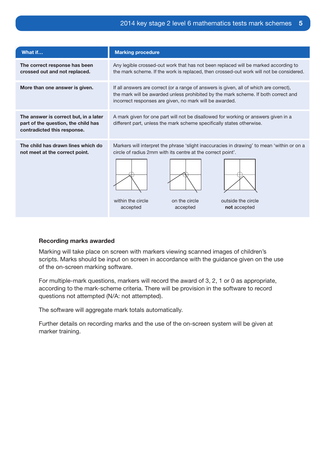| What if                                                                                                     | <b>Marking procedure</b>                                                                                                                                                                                                                                      |  |  |
|-------------------------------------------------------------------------------------------------------------|---------------------------------------------------------------------------------------------------------------------------------------------------------------------------------------------------------------------------------------------------------------|--|--|
| The correct response has been<br>crossed out and not replaced.                                              | Any legible crossed-out work that has not been replaced will be marked according to<br>the mark scheme. If the work is replaced, then crossed-out work will not be considered.                                                                                |  |  |
| More than one answer is given.                                                                              | If all answers are correct (or a range of answers is given, all of which are correct),<br>the mark will be awarded unless prohibited by the mark scheme. If both correct and<br>incorrect responses are given, no mark will be awarded.                       |  |  |
| The answer is correct but, in a later<br>part of the question, the child has<br>contradicted this response. | A mark given for one part will not be disallowed for working or answers given in a<br>different part, unless the mark scheme specifically states otherwise.                                                                                                   |  |  |
| The child has drawn lines which do<br>not meet at the correct point.                                        | Markers will interpret the phrase 'slight inaccuracies in drawing' to mean 'within or on a<br>circle of radius 2mm with its centre at the correct point'.<br>within the circle<br>on the circle<br>outside the circle<br>accepted<br>accepted<br>not accepted |  |  |

#### Recording marks awarded

Marking will take place on screen with markers viewing scanned images of children's scripts. Marks should be input on screen in accordance with the guidance given on the use of the on-screen marking software.

For multiple-mark questions, markers will record the award of 3, 2, 1 or 0 as appropriate, according to the mark-scheme criteria. There will be provision in the software to record questions not attempted (N/A: not attempted).

The software will aggregate mark totals automatically.

Further details on recording marks and the use of the on-screen system will be given at marker training.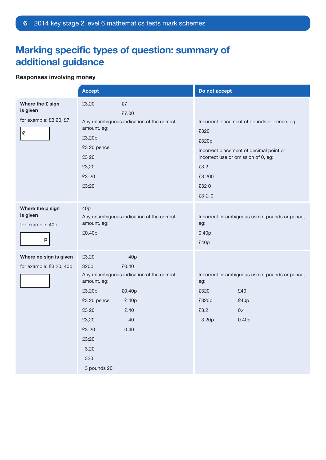# Marking specific types of question: summary of additional guidance

#### Responses involving money

|                                                                                | <b>Accept</b>                                                                                                                                                                                                                             | Do not accept                                                                                                                                                                            |
|--------------------------------------------------------------------------------|-------------------------------------------------------------------------------------------------------------------------------------------------------------------------------------------------------------------------------------------|------------------------------------------------------------------------------------------------------------------------------------------------------------------------------------------|
| Where the £ sign<br>is given<br>for example: £3.20, £7<br>$\pmb{\mathfrak{L}}$ | £7<br>£3.20<br>£7.00<br>Any unambiguous indication of the correct<br>amount, eg:<br>£3.20p<br>£3 20 pence<br>£3 20<br>£3,20<br>£3-20<br>£3:20                                                                                             | Incorrect placement of pounds or pence, eg:<br>£320<br>£320p<br>Incorrect placement of decimal point or<br>incorrect use or omission of 0, eg:<br>£3.2<br>£3 200<br>£320<br>$E3 - 2 - 0$ |
| Where the p sign<br>is given<br>for example: 40p<br>p                          | 40 <sub>p</sub><br>Any unambiguous indication of the correct<br>amount, eg:<br>£0.40p                                                                                                                                                     | Incorrect or ambiguous use of pounds or pence,<br>eg:<br>0.40 <sub>p</sub><br>£40p                                                                                                       |
| Where no sign is given<br>for example: £3.20, 40p                              | £3.20<br>40 <sub>p</sub><br>320p<br>£0.40<br>Any unambiguous indication of the correct<br>amount, eg:<br>£3.20p<br>£0.40p<br>£3 20 pence<br>£.40p<br>£3 20<br>£.40<br>£3,20<br>40<br>£3-20<br>0.40<br>£3:20<br>3.20<br>320<br>3 pounds 20 | Incorrect or ambiguous use of pounds or pence,<br>eg:<br>£320<br>£40<br>£320p<br>£40p<br>£3.2<br>0.4<br>3.20p<br>0.40 <sub>p</sub>                                                       |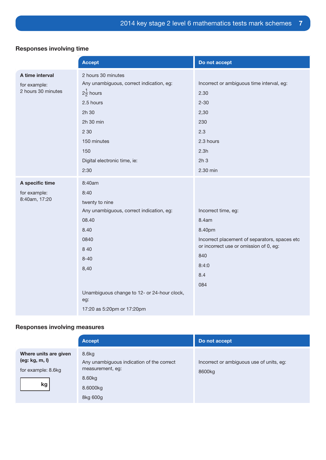#### Responses involving time

|                    | <b>Accept</b>                                                                    | Do not accept                                 |
|--------------------|----------------------------------------------------------------------------------|-----------------------------------------------|
| A time interval    | 2 hours 30 minutes                                                               |                                               |
| for example:       | Any unambiguous, correct indication, eg:                                         | Incorrect or ambiguous time interval, eg:     |
| 2 hours 30 minutes | $2\frac{1}{2}$ hours                                                             | 2.30                                          |
|                    | 2.5 hours                                                                        | $2 - 30$                                      |
|                    | 2h 30                                                                            | 2,30                                          |
|                    | 2h 30 min                                                                        | 230                                           |
|                    | 2 3 0                                                                            | 2.3                                           |
|                    | 150 minutes                                                                      | 2.3 hours                                     |
|                    | 150                                                                              | 2.3h                                          |
|                    | Digital electronic time, ie:                                                     | 2h <sub>3</sub>                               |
|                    | 2:30                                                                             | 2.30 min                                      |
| A specific time    | 8:40am                                                                           |                                               |
| for example:       | 8:40                                                                             |                                               |
| 8:40am, 17:20      | twenty to nine                                                                   |                                               |
|                    | Any unambiguous, correct indication, eg:                                         | Incorrect time, eg:                           |
|                    | 08.40                                                                            | 8.4am                                         |
|                    | 8.40                                                                             | 8.40pm                                        |
|                    | 0840                                                                             | Incorrect placement of separators, spaces etc |
|                    | 8 4 0                                                                            | or incorrect use or omission of 0, eg:        |
|                    | $8 - 40$                                                                         | 840                                           |
|                    | 8,40                                                                             | 8:4:0                                         |
|                    |                                                                                  | 8.4                                           |
|                    | Unambiguous change to 12- or 24-hour clock,<br>eg:<br>17:20 as 5:20pm or 17:20pm | 084                                           |
|                    |                                                                                  |                                               |

#### Responses involving measures

|                                                                     | Accept,                                                                                                              | Do not accept                                      |
|---------------------------------------------------------------------|----------------------------------------------------------------------------------------------------------------------|----------------------------------------------------|
| Where units are given<br>(eg: kg, m, l)<br>for example: 8.6kg<br>kg | 8.6 <sub>kg</sub><br>Any unambiguous indication of the correct<br>measurement, eg:<br>8.60kg<br>8.6000kg<br>8kg 600g | Incorrect or ambiguous use of units, eg:<br>8600kg |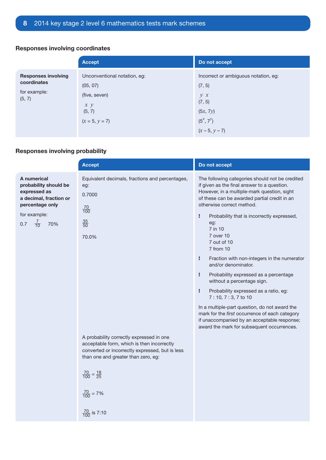#### Responses involving coordinates

|                                                                     | <b>Accept</b>                                                                                       | Do not accept                                                                                                   |
|---------------------------------------------------------------------|-----------------------------------------------------------------------------------------------------|-----------------------------------------------------------------------------------------------------------------|
| <b>Responses involving</b><br>coordinates<br>for example:<br>(5, 7) | Unconventional notation, eg:<br>(05, 07)<br>(five, seven)<br>$x \, y$<br>(5, 7)<br>$(x = 5, y = 7)$ | Incorrect or ambiguous notation, eg:<br>(7, 5)<br>y x<br>(7, 5)<br>(5x, 7y)<br>$(5^x, 7^y)$<br>$(x - 5, y - 7)$ |

#### Responses involving probability

|                                                                                                                                                   | <b>Accept</b>                                                                                                                                                                                                                                                             | Do not accept                                                                                                                                                                                                                                                                                                                                                                                                                                                                                                                                                                                                                                                                                                                                                         |
|---------------------------------------------------------------------------------------------------------------------------------------------------|---------------------------------------------------------------------------------------------------------------------------------------------------------------------------------------------------------------------------------------------------------------------------|-----------------------------------------------------------------------------------------------------------------------------------------------------------------------------------------------------------------------------------------------------------------------------------------------------------------------------------------------------------------------------------------------------------------------------------------------------------------------------------------------------------------------------------------------------------------------------------------------------------------------------------------------------------------------------------------------------------------------------------------------------------------------|
| A numerical<br>probability should be<br>expressed as<br>a decimal, fraction or<br>percentage only<br>for example:<br>$\frac{7}{10}$<br>70%<br>0.7 | Equivalent decimals, fractions and percentages,<br>eg:<br>0.7000<br>$\frac{70}{100}$<br>$\frac{35}{50}$<br>70.0%                                                                                                                                                          | The following categories should not be credited<br>if given as the final answer to a question.<br>However, in a multiple-mark question, sight<br>of these can be awarded partial credit in an<br>otherwise correct method.<br>L<br>Probability that is incorrectly expressed,<br>eg:<br>7 in 10<br>7 over 10<br>7 out of 10<br>7 from 10<br>I.<br>Fraction with non-integers in the numerator<br>and/or denominator.<br>L<br>Probability expressed as a percentage<br>without a percentage sign.<br>Ŧ.<br>Probability expressed as a ratio, eg:<br>7:10, 7:3, 7 to 10<br>In a multiple-part question, do not award the<br>mark for the first occurrence of each category<br>if unaccompanied by an acceptable response;<br>award the mark for subsequent occurrences. |
|                                                                                                                                                   | A probability correctly expressed in one<br>acceptable form, which is then incorrectly<br>converted or incorrectly expressed, but is less<br>than one and greater than zero, eg:<br>$\frac{70}{100} = \frac{18}{25}$<br>$\frac{70}{100}$ = 7%<br>$\frac{70}{100}$ is 7:10 |                                                                                                                                                                                                                                                                                                                                                                                                                                                                                                                                                                                                                                                                                                                                                                       |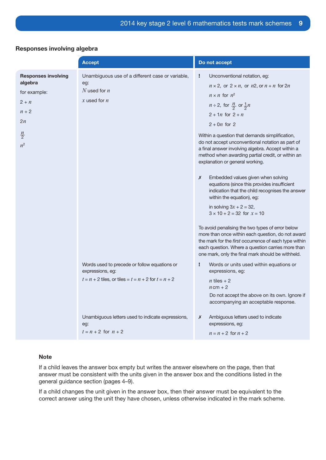#### Responses involving algebra

|                                                                                                             | <b>Accept</b>                                                                                                                 | Do not accept                                                                                                                                                                                                                                                                                                                                                                                                                                                                                                                                                                                                                                                                                                                                                                                                                                                                                                                                                                                              |
|-------------------------------------------------------------------------------------------------------------|-------------------------------------------------------------------------------------------------------------------------------|------------------------------------------------------------------------------------------------------------------------------------------------------------------------------------------------------------------------------------------------------------------------------------------------------------------------------------------------------------------------------------------------------------------------------------------------------------------------------------------------------------------------------------------------------------------------------------------------------------------------------------------------------------------------------------------------------------------------------------------------------------------------------------------------------------------------------------------------------------------------------------------------------------------------------------------------------------------------------------------------------------|
| <b>Responses involving</b><br>algebra<br>for example:<br>$2 + n$<br>$n + 2$<br>2n<br>$\frac{n}{2}$<br>$n^2$ | Unambiguous use of a different case or variable,<br>eg:<br>$N$ used for $n$<br>$x$ used for $n$                               | I.<br>Unconventional notation, eg:<br>$n \times 2$ , or $2 \times n$ , or $n2$ , or $n + n$ for $2n$<br>$n \times n$ for $n^2$<br>$n \div 2$ , for $\frac{n}{2}$ or $\frac{1}{2}n$<br>$2 + 1n$ for $2 + n$<br>$2 + 0n$ for 2<br>Within a question that demands simplification,<br>do not accept unconventional notation as part of<br>a final answer involving algebra. Accept within a<br>method when awarding partial credit, or within an<br>explanation or general working.<br>Embedded values given when solving<br>Х<br>equations (since this provides insufficient<br>indication that the child recognises the answer<br>within the equation), eg:<br>in solving $3x + 2 = 32$ ,<br>$3 \times 10 + 2 = 32$ for $x = 10$<br>To avoid penalising the two types of error below<br>more than once within each question, do not award<br>the mark for the first occurrence of each type within<br>each question. Where a question carries more than<br>one mark, only the final mark should be withheld. |
|                                                                                                             | Words used to precede or follow equations or<br>expressions, eg:<br>$t = n + 2$ tiles, or tiles = $t = n + 2$ for $t = n + 2$ | Words or units used within equations or<br>и<br>expressions, eg:<br><i>n</i> tiles $+2$<br>$n \text{cm} + 2$<br>Do not accept the above on its own. Ignore if<br>accompanying an acceptable response.                                                                                                                                                                                                                                                                                                                                                                                                                                                                                                                                                                                                                                                                                                                                                                                                      |
|                                                                                                             | Unambiguous letters used to indicate expressions,<br>eg:<br>$t = n + 2$ for $n + 2$                                           | Ambiguous letters used to indicate<br>X<br>expressions, eg:<br>$n = n + 2$ for $n + 2$                                                                                                                                                                                                                                                                                                                                                                                                                                                                                                                                                                                                                                                                                                                                                                                                                                                                                                                     |

#### **Note**

If a child leaves the answer box empty but writes the answer elsewhere on the page, then that answer must be consistent with the units given in the answer box and the conditions listed in the general guidance section (pages 4–9).

If a child changes the unit given in the answer box, then their answer must be equivalent to the correct answer using the unit they have chosen, unless otherwise indicated in the mark scheme.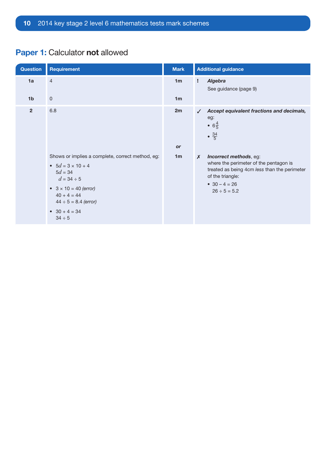| <b>Question</b> | Requirement                                                                                                                                                                                                                  | <b>Mark</b>     | <b>Additional guidance</b>                                                                                                                                                                       |
|-----------------|------------------------------------------------------------------------------------------------------------------------------------------------------------------------------------------------------------------------------|-----------------|--------------------------------------------------------------------------------------------------------------------------------------------------------------------------------------------------|
| 1a              | $\overline{4}$                                                                                                                                                                                                               | 1 <sub>m</sub>  | Algebra<br>I.<br>See guidance (page 9)                                                                                                                                                           |
| 1 <sub>b</sub>  | $\mathbf 0$                                                                                                                                                                                                                  | 1 <sub>m</sub>  |                                                                                                                                                                                                  |
| $\overline{2}$  | 6.8                                                                                                                                                                                                                          | 2m<br><b>or</b> | Accept equivalent fractions and decimals,<br>$\overline{\mathcal{L}}$<br>eg:<br>• $6\frac{4}{5}$<br>$\frac{34}{5}$                                                                               |
|                 | Shows or implies a complete, correct method, eg:<br>• $5d = 3 \times 10 + 4$<br>$5d = 34$<br>$d = 34 \div 5$<br>• $3 \times 10 = 40$ (error)<br>$40 + 4 = 44$<br>$44 \div 5 = 8.4$ (error)<br>• $30 + 4 = 34$<br>$34 \div 5$ | 1 <sub>m</sub>  | Incorrect methods, eg:<br>$\boldsymbol{x}$<br>where the perimeter of the pentagon is<br>treated as being 4cm less than the perimeter<br>of the triangle:<br>• $30 - 4 = 26$<br>$26 \div 5 = 5.2$ |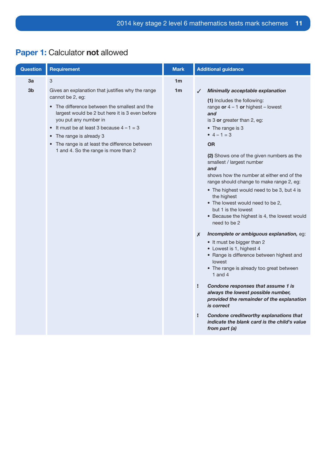| <b>Question</b> | <b>Requirement</b>                                                                                                                                                                                                                                                                                                                                                      | <b>Mark</b>    | <b>Additional guidance</b>                                                                                                                                                                                                                                                                                                                                                                                                                                                                                                                                                                                                                                                                                                                                                                                                                                                                                                                                                                                                                                  |
|-----------------|-------------------------------------------------------------------------------------------------------------------------------------------------------------------------------------------------------------------------------------------------------------------------------------------------------------------------------------------------------------------------|----------------|-------------------------------------------------------------------------------------------------------------------------------------------------------------------------------------------------------------------------------------------------------------------------------------------------------------------------------------------------------------------------------------------------------------------------------------------------------------------------------------------------------------------------------------------------------------------------------------------------------------------------------------------------------------------------------------------------------------------------------------------------------------------------------------------------------------------------------------------------------------------------------------------------------------------------------------------------------------------------------------------------------------------------------------------------------------|
| 3a              | 3                                                                                                                                                                                                                                                                                                                                                                       | 1 <sub>m</sub> |                                                                                                                                                                                                                                                                                                                                                                                                                                                                                                                                                                                                                                                                                                                                                                                                                                                                                                                                                                                                                                                             |
| 3 <sub>b</sub>  | Gives an explanation that justifies why the range<br>cannot be 2, eg:<br>• The difference between the smallest and the<br>largest would be 2 but here it is 3 even before<br>you put any number in<br>• It must be at least 3 because $4 - 1 = 3$<br>• The range is already 3<br>• The range is at least the difference between<br>1 and 4. So the range is more than 2 | 1 <sub>m</sub> | Minimally acceptable explanation<br>(1) Includes the following:<br>range or $4 - 1$ or highest - lowest<br>and<br>is 3 $or$ greater than 2, eg:<br>• The range is 3<br>• $4 - 1 = 3$<br><b>OR</b><br>(2) Shows one of the given numbers as the<br>smallest / largest number<br>and<br>shows how the number at either end of the<br>range should change to make range 2, eg:<br>• The highest would need to be 3, but 4 is<br>the highest<br>• The lowest would need to be 2,<br>but 1 is the lowest<br>• Because the highest is 4, the lowest would<br>need to be 2<br>Incomplete or ambiguous explanation, eg:<br>X<br>• It must be bigger than 2<br>• Lowest is 1, highest 4<br>• Range is difference between highest and<br>lowest<br>• The range is already too great between<br>1 and $4$<br>I.<br>Condone responses that assume 1 is<br>always the lowest possible number,<br>provided the remainder of the explanation<br>is correct<br>ı<br>Condone creditworthy explanations that<br>indicate the blank card is the child's value<br>from part (a) |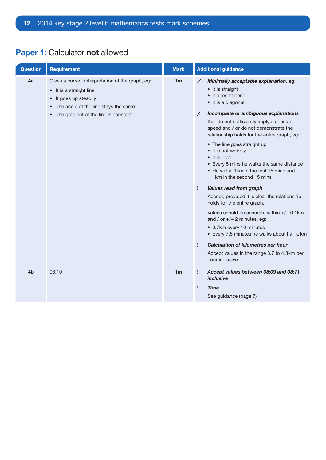| Question | <b>Requirement</b>                                                                                                                                                                       | <b>Mark</b>    | <b>Additional guidance</b>                                                                                                                                                                                                                                                                                                                                                                                                                                                                                                                                                                                                                                                                                                                                                     |
|----------|------------------------------------------------------------------------------------------------------------------------------------------------------------------------------------------|----------------|--------------------------------------------------------------------------------------------------------------------------------------------------------------------------------------------------------------------------------------------------------------------------------------------------------------------------------------------------------------------------------------------------------------------------------------------------------------------------------------------------------------------------------------------------------------------------------------------------------------------------------------------------------------------------------------------------------------------------------------------------------------------------------|
| 4a       | Gives a correct interpretation of the graph, eg:<br>• It is a straight line<br>• It goes up steadily<br>• The angle of the line stays the same<br>• The gradient of the line is constant | 1 <sub>m</sub> | Minimally acceptable explanation, eg:<br>• It is straight<br>• It doesn't bend<br>• It is a diagonal<br>Incomplete or ambiguous explanations<br>X<br>that do not sufficiently imply a constant<br>speed and / or do not demonstrate the<br>relationship holds for the entire graph, eg:<br>• The line goes straight up<br>• It is not wobbly<br>$\bullet$ It is level<br>• Every 5 mins he walks the same distance<br>• He walks 1km in the first 15 mins and<br>1km in the second 15 mins<br>ı<br><b>Values read from graph</b><br>Accept, provided it is clear the relationship<br>holds for the entire graph.<br>Values should be accurate within $+/- 0.1$ km<br>and / or $+/- 2$ minutes, eg:<br>• 0.7km every 10 minutes<br>• Every 7.5 minutes he walks about half a km |
|          |                                                                                                                                                                                          |                | Ţ<br><b>Calculation of kilometres per hour</b><br>Accept values in the range 3.7 to 4.3km per<br>hour inclusive.                                                                                                                                                                                                                                                                                                                                                                                                                                                                                                                                                                                                                                                               |
| 4b       | 08:10                                                                                                                                                                                    | 1 <sub>m</sub> | ı<br>Accept values between 08:09 and 08:11<br><i>inclusive</i><br>ı<br><b>Time</b><br>See guidance (page 7)                                                                                                                                                                                                                                                                                                                                                                                                                                                                                                                                                                                                                                                                    |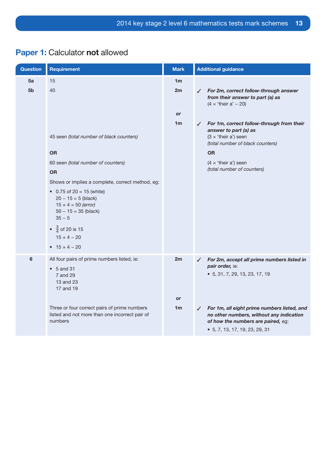| <b>Question</b> | Requirement                                                                                                              | <b>Mark</b>    | <b>Additional guidance</b>                                                                                                                                                              |
|-----------------|--------------------------------------------------------------------------------------------------------------------------|----------------|-----------------------------------------------------------------------------------------------------------------------------------------------------------------------------------------|
| 5a              | 15                                                                                                                       | 1 <sub>m</sub> |                                                                                                                                                                                         |
| 5 <sub>b</sub>  | 40                                                                                                                       | 2m             | For 2m, correct follow-through answer<br>$\overline{\mathcal{L}}$<br>from their answer to part (a) as<br>$(4 \times$ 'their a' - 20)                                                    |
|                 |                                                                                                                          | or             |                                                                                                                                                                                         |
|                 | 45 seen (total number of black counters)                                                                                 | 1 <sub>m</sub> | For 1m, correct follow-through from their<br>$\checkmark$<br>answer to part (a) as<br>$(3 \times 'their a')$ seen<br>(total number of black counters)                                   |
|                 | <b>OR</b>                                                                                                                |                | <b>OR</b>                                                                                                                                                                               |
|                 | 60 seen (total number of counters)                                                                                       |                | $(4 \times$ 'their a') seen                                                                                                                                                             |
|                 | <b>OR</b>                                                                                                                |                | (total number of counters)                                                                                                                                                              |
|                 | Shows or implies a complete, correct method, eg:                                                                         |                |                                                                                                                                                                                         |
|                 | • 0.75 of $20 = 15$ (white)<br>$20 - 15 = 5$ (black)<br>$15 \times 4 = 50$ (error)<br>$50 - 15 = 35$ (black)<br>$35 - 5$ |                |                                                                                                                                                                                         |
|                 | • $\frac{3}{4}$ of 20 is 15                                                                                              |                |                                                                                                                                                                                         |
|                 | $15 \times 4 - 20$                                                                                                       |                |                                                                                                                                                                                         |
|                 | • $15 \times 4 - 20$                                                                                                     |                |                                                                                                                                                                                         |
| 6               | All four pairs of prime numbers listed, ie:<br>$\bullet$ 5 and 31<br>7 and 29<br>13 and 23<br>17 and 19                  | 2m             | For 2m, accept all prime numbers listed in<br>$\checkmark$<br>pair order, ie:<br>• 5, 31, 7, 29, 13, 23, 17, 19                                                                         |
|                 |                                                                                                                          | or             |                                                                                                                                                                                         |
|                 | Three or four correct pairs of prime numbers<br>listed and not more than one incorrect pair of<br>numbers                | 1 <sub>m</sub> | For 1m, all eight prime numbers listed, and<br>$\checkmark$<br>no other numbers, without any indication<br>of how the numbers are paired, eg:<br>$\bullet$ 5, 7, 13, 17, 19, 23, 29, 31 |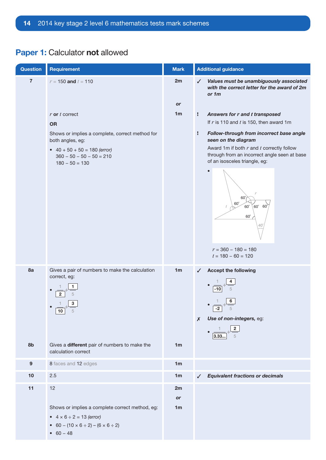| <b>Question</b>  | Requirement                                                                                                                                  | <b>Mark</b>    | <b>Additional guidance</b>                                                                                                     |
|------------------|----------------------------------------------------------------------------------------------------------------------------------------------|----------------|--------------------------------------------------------------------------------------------------------------------------------|
| $\overline{7}$   | $r = 150$ and $t = 110$                                                                                                                      | 2m<br>or       | Values must be unambiguously associated<br>✓<br>with the correct letter for the award of 2m<br>or 1m                           |
|                  |                                                                                                                                              | 1 <sub>m</sub> |                                                                                                                                |
|                  | $r$ or $t$ correct                                                                                                                           |                | ÷<br>Answers for r and t transposed                                                                                            |
|                  | <b>OR</b>                                                                                                                                    |                | If $r$ is 110 and $t$ is 150, then award 1m                                                                                    |
|                  | Shows or implies a complete, correct method for<br>both angles, eg:                                                                          |                | Follow-through from incorrect base angle<br>Ţ<br>seen on the diagram                                                           |
|                  | • $40 + 50 + 50 = 180$ (error)<br>$360 - 50 - 50 - 50 = 210$<br>$180 - 50 = 130$                                                             |                | Award 1m if both $r$ and $t$ correctly follow<br>through from an incorrect angle seen at base<br>of an isosceles triangle, eg: |
|                  |                                                                                                                                              |                | $60^\circ$<br>$60^\circ$<br>$60^\circ$<br>$60^\circ$<br>60<br>$60^\circ$<br>$r = 360 - 180 = 180$                              |
|                  |                                                                                                                                              |                | $t = 180 - 60 = 120$                                                                                                           |
| 8a               | Gives a pair of numbers to make the calculation<br>correct, eg:<br>$\overline{\mathbf{c}}$<br>3<br>5<br>10                                   | 1 <sub>m</sub> | <b>Accept the following</b><br>✓<br>-10<br>$\boxed{-2}$ 5<br>Use of non-integers, eg:<br>$\boldsymbol{x}$<br>$\frac{1}{3.33}$  |
| 8b               | Gives a different pair of numbers to make the<br>calculation correct                                                                         | 1 <sub>m</sub> |                                                                                                                                |
| $\boldsymbol{9}$ | 8 faces and 12 edges                                                                                                                         | 1 <sub>m</sub> |                                                                                                                                |
| 10               | 2.5                                                                                                                                          | 1 <sub>m</sub> | <b>Equivalent fractions or decimals</b><br>✓                                                                                   |
| 11               | 12                                                                                                                                           | 2m             |                                                                                                                                |
|                  |                                                                                                                                              | or             |                                                                                                                                |
|                  | Shows or implies a complete correct method, eg:<br>• $4 \times 6 \div 2 = 13$ (error)<br>• $60 - (10 \times 6 \div 2) - (6 \times 6 \div 2)$ | 1 <sub>m</sub> |                                                                                                                                |
|                  | $• 60 - 48$                                                                                                                                  |                |                                                                                                                                |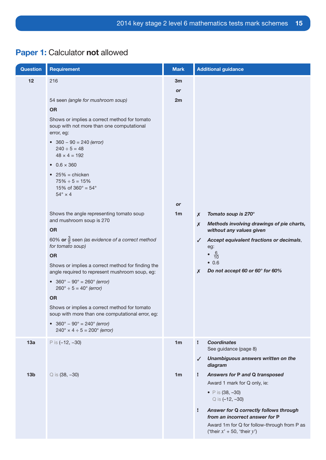| <b>Question</b> | <b>Requirement</b>                                                                                                                                                                                                                                                                                                                                                                                                                                                                                                                                                                                                       | <b>Mark</b>    | <b>Additional guidance</b>                                                                                                                                                                                                                                                                   |
|-----------------|--------------------------------------------------------------------------------------------------------------------------------------------------------------------------------------------------------------------------------------------------------------------------------------------------------------------------------------------------------------------------------------------------------------------------------------------------------------------------------------------------------------------------------------------------------------------------------------------------------------------------|----------------|----------------------------------------------------------------------------------------------------------------------------------------------------------------------------------------------------------------------------------------------------------------------------------------------|
| 12              | 216<br>54 seen (angle for mushroom soup)<br><b>OR</b><br>Shows or implies a correct method for tomato<br>soup with not more than one computational<br>error, eg:<br>• $360 - 90 = 240$ (error)<br>$240 \div 5 = 48$                                                                                                                                                                                                                                                                                                                                                                                                      | 3m<br>or<br>2m |                                                                                                                                                                                                                                                                                              |
|                 | $48 \times 4 = 192$<br>• $0.6 \times 360$<br>$\bullet$ 25% = chicken<br>$75\% \div 5 = 15\%$<br>15% of $360^\circ = 54^\circ$<br>$54^{\circ} \times 4$                                                                                                                                                                                                                                                                                                                                                                                                                                                                   | or             |                                                                                                                                                                                                                                                                                              |
|                 | Shows the angle representing tomato soup<br>and mushroom soup is 270<br><b>OR</b><br>60% or $\frac{3}{5}$ seen (as evidence of a correct method<br>for tomato soup)<br><b>OR</b><br>Shows or implies a correct method for finding the<br>angle required to represent mushroom soup, eg:<br>• $360^{\circ} - 90^{\circ} = 260^{\circ}$ (error)<br>$260^{\circ} \div 5 = 40^{\circ}$ (error)<br><b>OR</b><br>Shows or implies a correct method for tomato<br>soup with more than one computational error, eg:<br>• $360^{\circ} - 90^{\circ} = 240^{\circ}$ (error)<br>$240^{\circ} \times 4 \div 5 = 200^{\circ}$ (error) | 1 <sub>m</sub> | Tomato soup is 270°<br>$\boldsymbol{x}$<br>Methods involving drawings of pie charts,<br>$\boldsymbol{x}$<br>without any values given<br>Accept equivalent fractions or decimals,<br>$\checkmark$<br>eg:<br>• $\frac{6}{10}$<br>$\bullet$ 0.6<br>Do not accept 60 or 60° for 60%<br>X         |
| 13a             | $P$ is $(-12, -30)$                                                                                                                                                                                                                                                                                                                                                                                                                                                                                                                                                                                                      | 1 <sub>m</sub> | T<br><b>Coordinates</b><br>See guidance (page 8)<br>Unambiguous answers written on the<br>$\checkmark$<br>diagram                                                                                                                                                                            |
| 13 <sub>b</sub> | Q is (38, -30)                                                                                                                                                                                                                                                                                                                                                                                                                                                                                                                                                                                                           | 1 <sub>m</sub> | I.<br>Answers for P and Q transposed<br>Award 1 mark for Q only, ie:<br>• $\triangleright$ is (38, -30)<br>Q is (-12, -30)<br>I.<br>Answer for Q correctly follows through<br>from an incorrect answer for P<br>Award 1m for Q for follow-through from P as<br>('their $x'$ + 50, 'their y') |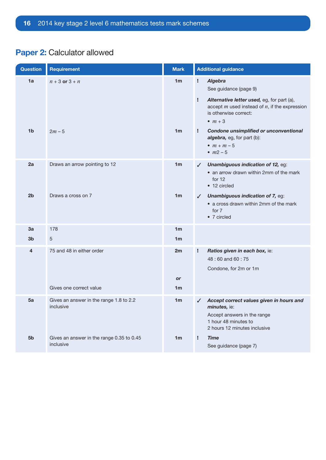| <b>Question</b>      | Requirement                                            | <b>Mark</b>                      | <b>Additional guidance</b>                                                                                                                                                                                                                                                                 |
|----------------------|--------------------------------------------------------|----------------------------------|--------------------------------------------------------------------------------------------------------------------------------------------------------------------------------------------------------------------------------------------------------------------------------------------|
| 1a<br>1 <sub>b</sub> | $n + 3$ or $3 + n$<br>$2m - 5$                         | 1 <sub>m</sub><br>1 <sub>m</sub> | Ţ<br>Algebra<br>See guidance (page 9)<br>I.<br>Alternative letter used, eg, for part (a),<br>accept $m$ used instead of $n$ , if the expression<br>is otherwise correct:<br>$\bullet$ $m+3$<br>Condone unsimplified or unconventional<br>I.<br>algebra, eg, for part (b):<br>• $m + m - 5$ |
|                      |                                                        |                                  | • $m2 - 5$                                                                                                                                                                                                                                                                                 |
| 2a                   | Draws an arrow pointing to 12                          | 1 <sub>m</sub>                   | Unambiguous indication of 12, eg:<br>$\checkmark$<br>• an arrow drawn within 2mm of the mark<br>for $12$<br>• 12 circled                                                                                                                                                                   |
| 2 <sub>b</sub>       | Draws a cross on 7                                     | 1 <sub>m</sub>                   | <b>Unambiguous indication of 7, eg:</b><br>$\checkmark$<br>• a cross drawn within 2mm of the mark<br>for 7<br>• 7 circled                                                                                                                                                                  |
| 3a                   | 178                                                    | 1 <sub>m</sub>                   |                                                                                                                                                                                                                                                                                            |
| 3 <sub>b</sub>       | $\sqrt{5}$                                             | 1 <sub>m</sub>                   |                                                                                                                                                                                                                                                                                            |
| 4                    | 75 and 48 in either order                              | 2m<br>or                         | Ţ<br>Ratios given in each box, ie:<br>48:60 and 60:75<br>Condone, for 2m or 1m                                                                                                                                                                                                             |
|                      | Gives one correct value                                | 1 <sub>m</sub>                   |                                                                                                                                                                                                                                                                                            |
| 5a                   | Gives an answer in the range 1.8 to 2.2<br>inclusive   | 1 <sub>m</sub>                   | Accept correct values given in hours and<br>$\checkmark$<br><i>minutes</i> , ie:<br>Accept answers in the range<br>1 hour 48 minutes to<br>2 hours 12 minutes inclusive                                                                                                                    |
| 5 <sub>b</sub>       | Gives an answer in the range 0.35 to 0.45<br>inclusive | 1m                               | Ţ<br><b>Time</b><br>See guidance (page 7)                                                                                                                                                                                                                                                  |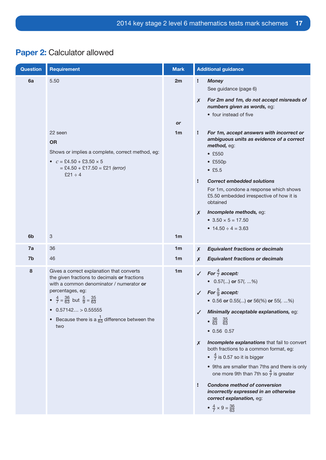| <b>Question</b> | <b>Requirement</b>                                                                                                                                                                                                                                                                                                                 | <b>Mark</b>                      | <b>Additional guidance</b>                                                                                                                                                                                                                                                                                                                                                                                                                                                                                                                                                                                                                                      |
|-----------------|------------------------------------------------------------------------------------------------------------------------------------------------------------------------------------------------------------------------------------------------------------------------------------------------------------------------------------|----------------------------------|-----------------------------------------------------------------------------------------------------------------------------------------------------------------------------------------------------------------------------------------------------------------------------------------------------------------------------------------------------------------------------------------------------------------------------------------------------------------------------------------------------------------------------------------------------------------------------------------------------------------------------------------------------------------|
| 6a              | 5.50                                                                                                                                                                                                                                                                                                                               | 2m                               | Ţ<br><b>Money</b><br>See guidance (page 6)<br>For 2m and 1m, do not accept misreads of<br>$\boldsymbol{x}$<br>numbers given as words, eg:<br>• four instead of five                                                                                                                                                                                                                                                                                                                                                                                                                                                                                             |
|                 |                                                                                                                                                                                                                                                                                                                                    | or                               |                                                                                                                                                                                                                                                                                                                                                                                                                                                                                                                                                                                                                                                                 |
| 6 <sub>b</sub>  | 22 seen<br><b>OR</b><br>Shows or implies a complete, correct method, eg:<br>• $c = £4.50 + £3.50 \times 5$<br>$=$ £4.50 + £17.50 = £21 (error)<br>£21 $\div$ 4<br>3                                                                                                                                                                | 1 <sub>m</sub><br>1 <sub>m</sub> | For 1m, accept answers with incorrect or<br>I.<br>ambiguous units as evidence of a correct<br>method, eg:<br>$\cdot$ £550<br>$\bullet$ £550p<br>$\cdot$ £5.5<br>I.<br><b>Correct embedded solutions</b><br>For 1m, condone a response which shows<br>£5.50 embedded irrespective of how it is<br>obtained<br>Incomplete methods, eg:<br>X<br>• $3.50 \times 5 = 17.50$<br>• $14.50 \div 4 = 3.63$                                                                                                                                                                                                                                                               |
| 7a              | 36                                                                                                                                                                                                                                                                                                                                 | 1 <sub>m</sub>                   | <b>Equivalent fractions or decimals</b><br>$\boldsymbol{x}$                                                                                                                                                                                                                                                                                                                                                                                                                                                                                                                                                                                                     |
| 7b              | 46                                                                                                                                                                                                                                                                                                                                 | 1m                               | <b>Equivalent fractions or decimals</b><br>$\boldsymbol{x}$                                                                                                                                                                                                                                                                                                                                                                                                                                                                                                                                                                                                     |
| 8               | Gives a correct explanation that converts<br>the given fractions to decimals or fractions<br>with a common denominator / numerator or<br>percentages, eg:<br>• $\frac{4}{7} = \frac{36}{63}$ but $\frac{5}{9} = \frac{35}{63}$<br>$\bullet$ 0.57142 > 0.55555<br>• Because there is a $\frac{1}{63}$ difference between the<br>two | 1 <sub>m</sub>                   | $\sqrt{F}$ For $\frac{4}{7}$ accept:<br>• $0.57()$ or $57(%)$<br>$\sqrt{6}$ For $\frac{5}{9}$ accept:<br>• 0.56 or 0.55() or 56(%) or 55(%)<br>Minimally acceptable explanations, eg:<br>$\bullet$ $\frac{36}{63}$ $\frac{35}{63}$<br>$0.56$ 0.57<br>Incomplete explanations that fail to convert<br>X<br>both fractions to a common format, eg:<br>• $\frac{4}{7}$ is 0.57 so it is bigger<br>• 9ths are smaller than 7ths and there is only<br>one more 9th than 7th so $\frac{4}{7}$ is greater<br><b>Condone method of conversion</b><br>Ţ<br>incorrectly expressed in an otherwise<br>correct explanation, eg:<br>• $\frac{4}{7} \times 9 = \frac{36}{63}$ |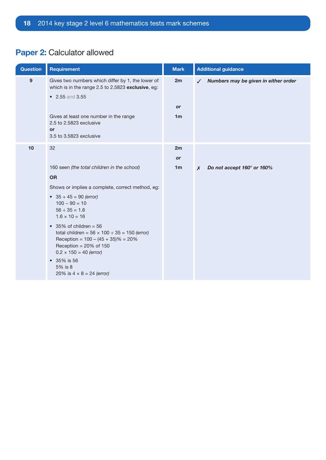| Question         | <b>Requirement</b>                                                                                                                                                                               | <b>Mark</b>    | <b>Additional guidance</b>                           |
|------------------|--------------------------------------------------------------------------------------------------------------------------------------------------------------------------------------------------|----------------|------------------------------------------------------|
| $\boldsymbol{9}$ | Gives two numbers which differ by 1, the lower of<br>which is in the range 2.5 to 2.5823 exclusive, eg:                                                                                          | 2m             | Numbers may be given in either order<br>$\checkmark$ |
|                  | • 2.55 and 3.55                                                                                                                                                                                  |                |                                                      |
|                  |                                                                                                                                                                                                  | or             |                                                      |
|                  | Gives at least one number in the range<br>2.5 to 2.5823 exclusive                                                                                                                                | 1 <sub>m</sub> |                                                      |
|                  | or<br>3.5 to 3.5823 exclusive                                                                                                                                                                    |                |                                                      |
| 10               | 32                                                                                                                                                                                               | 2m             |                                                      |
|                  |                                                                                                                                                                                                  | or             |                                                      |
|                  | 160 seen (the total children in the school)                                                                                                                                                      | 1 <sub>m</sub> | Do not accept 160° or 160%<br>X                      |
|                  | <b>OR</b>                                                                                                                                                                                        |                |                                                      |
|                  | Shows or implies a complete, correct method, eg:                                                                                                                                                 |                |                                                      |
|                  | • $35 + 45 = 90$ (error)                                                                                                                                                                         |                |                                                      |
|                  | $100 - 90 = 10$<br>$56 \div 35 = 1.6$                                                                                                                                                            |                |                                                      |
|                  | $1.6 \times 10 = 16$                                                                                                                                                                             |                |                                                      |
|                  | $\bullet$ 35% of children = 56<br>total children = $56 \times 100 \div 35 = 150$ (error)<br>Reception = $100 - (45 + 35)\% = 20\%$<br>Reception = $20\%$ of 150<br>$0.2 \times 150 = 40$ (error) |                |                                                      |
|                  | • 35% is 56<br>5% is 8<br>20% is $4 \times 8 = 24$ (error)                                                                                                                                       |                |                                                      |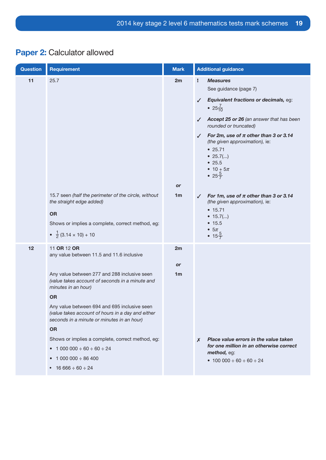| <b>Question</b> | Requirement                                                                                                                                                                                                                                                                                                                                                     | <b>Mark</b>                | <b>Additional guidance</b>                                                                                                                                                                                                                                                                                                                                                                 |
|-----------------|-----------------------------------------------------------------------------------------------------------------------------------------------------------------------------------------------------------------------------------------------------------------------------------------------------------------------------------------------------------------|----------------------------|--------------------------------------------------------------------------------------------------------------------------------------------------------------------------------------------------------------------------------------------------------------------------------------------------------------------------------------------------------------------------------------------|
| 11              | 25.7                                                                                                                                                                                                                                                                                                                                                            | 2m                         | I.<br><b>Measures</b><br>See guidance (page 7)<br>Equivalent fractions or decimals, eg:<br>$\checkmark$<br>• $25\frac{7}{10}$<br>Accept 25 or 26 (an answer that has been<br>$\checkmark$<br>rounded or truncated)<br>For 2m, use of $\pi$ other than 3 or 3.14<br>$\checkmark$<br>(the given approximation), ie:<br>• 25.71<br>• $25.7()$<br>• 25.5<br>• $10 + 5\pi$<br>• $25\frac{5}{7}$ |
|                 | 15.7 seen (half the perimeter of the circle, without<br>the straight edge added)<br><b>OR</b><br>Shows or implies a complete, correct method, eg:<br>• $\frac{1}{2}$ (3.14 $\times$ 10) + 10                                                                                                                                                                    | or<br>1 <sub>m</sub>       | For 1m, use of $\pi$ other than 3 or 3.14<br>$\checkmark$<br>(the given approximation), ie:<br>• 15.71<br>• $15.7()$<br>• 15.5<br>$\bullet$ 5 $\pi$<br>• $15\frac{5}{7}$                                                                                                                                                                                                                   |
| 12              | 11 OR 12 OR<br>any value between 11.5 and 11.6 inclusive<br>Any value between 277 and 288 inclusive seen<br>(value takes account of seconds in a minute and<br>minutes in an hour)<br><b>OR</b><br>Any value between 694 and 695 inclusive seen<br>(value takes account of hours in a day and either<br>seconds in a minute or minutes in an hour)<br><b>OR</b> | 2m<br>or<br>1 <sub>m</sub> |                                                                                                                                                                                                                                                                                                                                                                                            |
|                 | Shows or implies a complete, correct method, eg:<br>• 1 000 000 $\div$ 60 $\div$ 60 $\div$ 24<br>• 1 000 000 $\div$ 86 400<br>• $16666 \div 60 \div 24$                                                                                                                                                                                                         |                            | Place value errors in the value taken<br>X<br>for one million in an otherwise correct<br>method, eg:<br>• 100 000 $\div$ 60 $\div$ 60 $\div$ 24                                                                                                                                                                                                                                            |